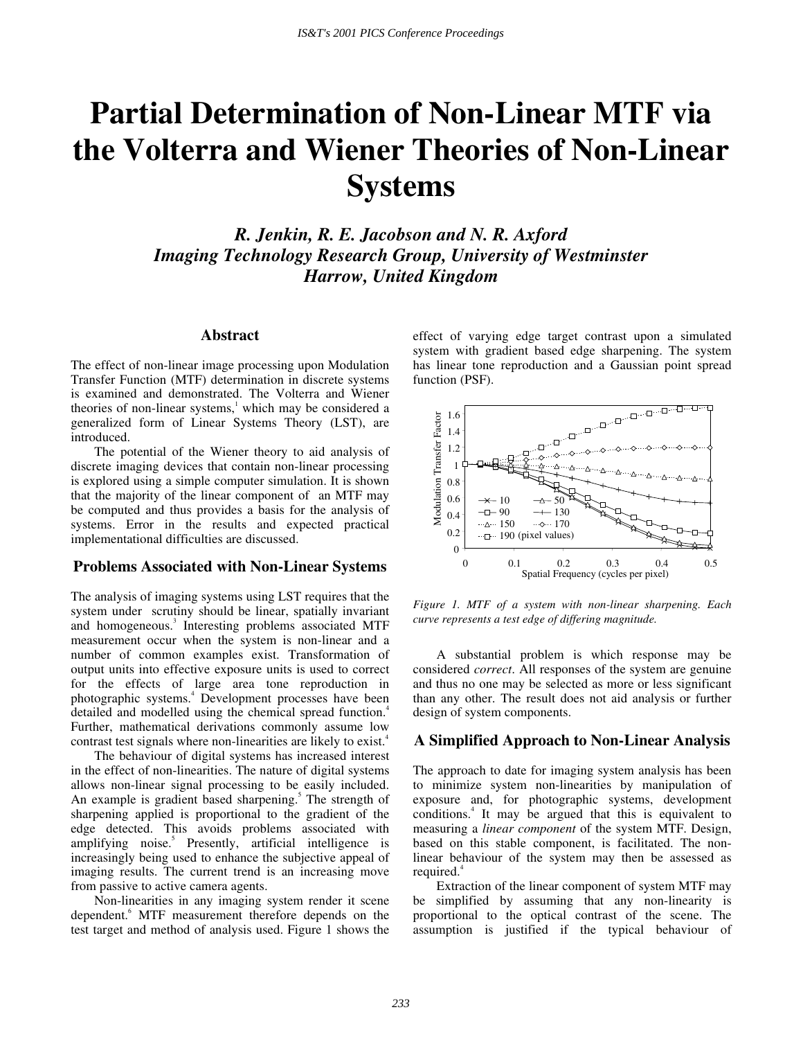# **Partial Determination of Non-Linear MTF via the Volterra and Wiener Theories of Non-Linear Systems**

*R. Jenkin, R. E. Jacobson and N. R. Axford Imaging Technology Research Group, University of Westminster Harrow, United Kingdom*

## **Abstract**

The effect of non-linear image processing upon Modulation Transfer Function (MTF) determination in discrete systems is examined and demonstrated. The Volterra and Wiener theories of non-linear systems,<sup>1</sup> which may be considered a generalized form of Linear Systems Theory (LST), are introduced.

The potential of the Wiener theory to aid analysis of discrete imaging devices that contain non-linear processing is explored using a simple computer simulation. It is shown that the majority of the linear component of an MTF may be computed and thus provides a basis for the analysis of systems. Error in the results and expected practical implementational difficulties are discussed.

#### **Problems Associated with Non-Linear Systems**

The analysis of imaging systems using LST requires that the system under scrutiny should be linear, spatially invariant and homogeneous.<sup>3</sup> Interesting problems associated MTF measurement occur when the system is non-linear and a number of common examples exist. Transformation of output units into effective exposure units is used to correct for the effects of large area tone reproduction in photographic systems.<sup>4</sup> Development processes have been detailed and modelled using the chemical spread function.<sup>4</sup> Further, mathematical derivations commonly assume low contrast test signals where non-linearities are likely to exist.<sup>4</sup>

The behaviour of digital systems has increased interest in the effect of non-linearities. The nature of digital systems allows non-linear signal processing to be easily included. An example is gradient based sharpening.<sup>5</sup> The strength of sharpening applied is proportional to the gradient of the edge detected. This avoids problems associated with amplifying noise.<sup>5</sup> Presently, artificial intelligence is increasingly being used to enhance the subjective appeal of imaging results. The current trend is an increasing move from passive to active camera agents.

Non-linearities in any imaging system render it scene dependent.<sup>6</sup> MTF measurement therefore depends on the test target and method of analysis used. Figure 1 shows the effect of varying edge target contrast upon a simulated system with gradient based edge sharpening. The system has linear tone reproduction and a Gaussian point spread function (PSF).



*Figure 1. MTF of a system with non-linear sharpening. Each curve represents a test edge of differing magnitude.*

A substantial problem is which response may be considered *correct*. All responses of the system are genuine and thus no one may be selected as more or less significant than any other. The result does not aid analysis or further design of system components.

# **A Simplified Approach to Non-Linear Analysis**

The approach to date for imaging system analysis has been to minimize system non-linearities by manipulation of exposure and, for photographic systems, development conditions.<sup>4</sup> It may be argued that this is equivalent to measuring a *linear component* of the system MTF. Design, based on this stable component, is facilitated. The nonlinear behaviour of the system may then be assessed as required.<sup>4</sup>

Extraction of the linear component of system MTF may be simplified by assuming that any non-linearity is proportional to the optical contrast of the scene. The assumption is justified if the typical behaviour of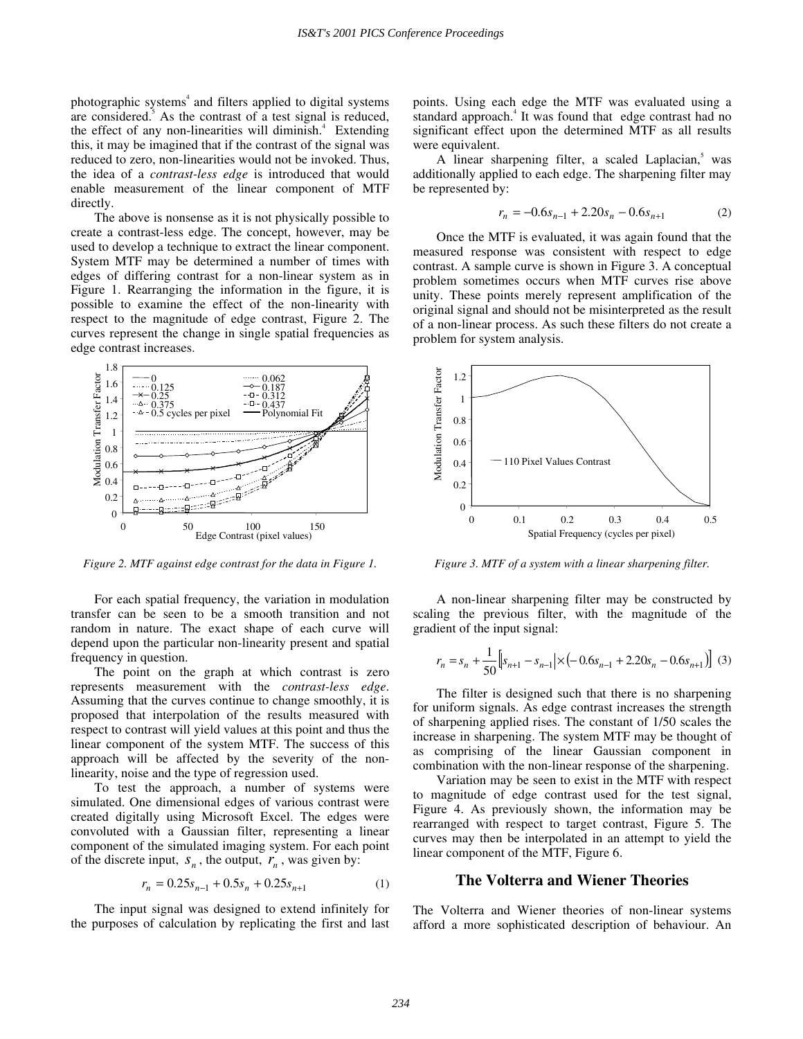photographic systems<sup>4</sup> and filters applied to digital systems are considered.<sup>5</sup> As the contrast of a test signal is reduced, the effect of any non-linearities will diminish.<sup>4</sup> Extending this, it may be imagined that if the contrast of the signal was reduced to zero, non-linearities would not be invoked. Thus, the idea of a *contrast-less edge* is introduced that would enable measurement of the linear component of MTF directly.

The above is nonsense as it is not physically possible to create a contrast-less edge. The concept, however, may be used to develop a technique to extract the linear component. System MTF may be determined a number of times with edges of differing contrast for a non-linear system as in Figure 1. Rearranging the information in the figure, it is possible to examine the effect of the non-linearity with respect to the magnitude of edge contrast, Figure 2. The curves represent the change in single spatial frequencies as edge contrast increases.



*Figure 2. MTF against edge contrast for the data in Figure 1.*

For each spatial frequency, the variation in modulation transfer can be seen to be a smooth transition and not random in nature. The exact shape of each curve will depend upon the particular non-linearity present and spatial frequency in question.

The point on the graph at which contrast is zero represents measurement with the *contrast-less edge*. Assuming that the curves continue to change smoothly, it is proposed that interpolation of the results measured with respect to contrast will yield values at this point and thus the linear component of the system MTF. The success of this approach will be affected by the severity of the nonlinearity, noise and the type of regression used.

To test the approach, a number of systems were simulated. One dimensional edges of various contrast were created digitally using Microsoft Excel. The edges were convoluted with a Gaussian filter, representing a linear component of the simulated imaging system. For each point of the discrete input,  $S_n$ , the output,  $r_n$ , was given by:

$$
r_n = 0.25s_{n-1} + 0.5s_n + 0.25s_{n+1}
$$
 (1)

The input signal was designed to extend infinitely for the purposes of calculation by replicating the first and last points. Using each edge the MTF was evaluated using a standard approach.<sup>4</sup> It was found that edge contrast had no significant effect upon the determined MTF as all results were equivalent.

A linear sharpening filter, a scaled Laplacian,<sup>5</sup> was additionally applied to each edge. The sharpening filter may be represented by:

$$
r_n = -0.6s_{n-1} + 2.20s_n - 0.6s_{n+1}
$$
 (2)

Once the MTF is evaluated, it was again found that the measured response was consistent with respect to edge contrast. A sample curve is shown in Figure 3. A conceptual problem sometimes occurs when MTF curves rise above unity. These points merely represent amplification of the original signal and should not be misinterpreted as the result of a non-linear process. As such these filters do not create a problem for system analysis.



*Figure 3. MTF of a system with a linear sharpening filter.*

A non-linear sharpening filter may be constructed by scaling the previous filter, with the magnitude of the gradient of the input signal:

$$
r_n = s_n + \frac{1}{50} \left[ s_{n+1} - s_{n-1} \right] \times \left( -0.6s_{n-1} + 2.20s_n - 0.6s_{n+1} \right) \right]
$$
 (3)

The filter is designed such that there is no sharpening for uniform signals. As edge contrast increases the strength of sharpening applied rises. The constant of 1/50 scales the increase in sharpening. The system MTF may be thought of as comprising of the linear Gaussian component in combination with the non-linear response of the sharpening.

Variation may be seen to exist in the MTF with respect to magnitude of edge contrast used for the test signal, Figure 4. As previously shown, the information may be rearranged with respect to target contrast, Figure 5. The curves may then be interpolated in an attempt to yield the linear component of the MTF, Figure 6.

# **The Volterra and Wiener Theories**

The Volterra and Wiener theories of non-linear systems afford a more sophisticated description of behaviour. An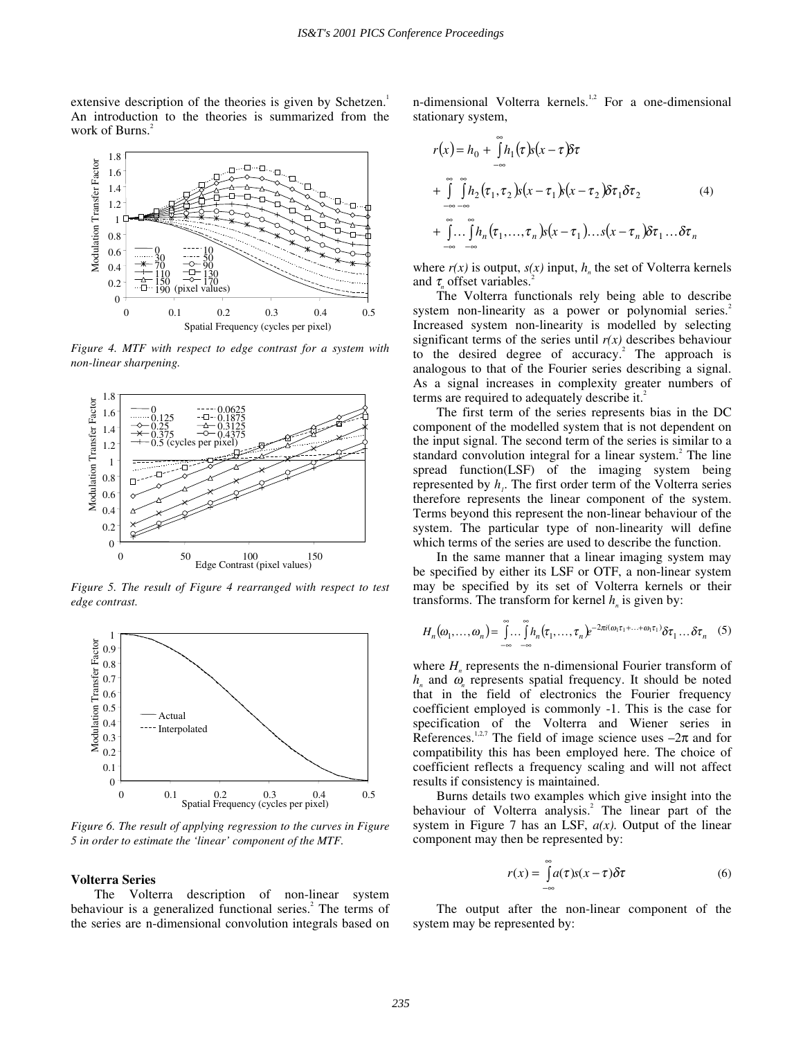extensive description of the theories is given by Schetzen.<sup>1</sup> An introduction to the theories is summarized from the work of Burns.<sup>2</sup>



*Figure 4. MTF with respect to edge contrast for a system with non-linear sharpening.*



*Figure 5. The result of Figure 4 rearranged with respect to test edge contrast.*



*Figure 6. The result of applying regression to the curves in Figure 5 in order to estimate the 'linear' component of the MTF.*

#### **Volterra Series**

The Volterra description of non-linear system behaviour is a generalized functional series.<sup>2</sup> The terms of the series are n-dimensional convolution integrals based on n-dimensional Volterra kernels.<sup>1,2</sup> For a one-dimensional stationary system,

$$
r(x) = h_0 + \int_{-\infty}^{\infty} h_1(\tau) s(x - \tau) \delta \tau
$$
  
+ 
$$
\int_{-\infty}^{\infty} \int_{-\infty}^{\infty} h_2(\tau_1, \tau_2) s(x - \tau_1) s(x - \tau_2) \delta \tau_1 \delta \tau_2
$$
  
+ 
$$
\int_{-\infty}^{\infty} \int_{-\infty}^{\infty} h_n(\tau_1, ..., \tau_n) s(x - \tau_1) ... s(x - \tau_n) \delta \tau_1 ... \delta \tau_n
$$
 (4)

where  $r(x)$  is output,  $s(x)$  input,  $h_n$  the set of Volterra kernels and τ offset variables.<sup>2</sup>

The Volterra functionals rely being able to describe system non-linearity as a power or polynomial series.<sup>2</sup> Increased system non-linearity is modelled by selecting significant terms of the series until  $r(x)$  describes behaviour to the desired degree of accuracy.<sup>2</sup> The approach is analogous to that of the Fourier series describing a signal. As a signal increases in complexity greater numbers of terms are required to adequately describe it.<sup>2</sup>

The first term of the series represents bias in the DC component of the modelled system that is not dependent on the input signal. The second term of the series is similar to a standard convolution integral for a linear system.<sup>2</sup> The line spread function(LSF) of the imaging system being represented by  $h_i$ . The first order term of the Volterra series therefore represents the linear component of the system. Terms beyond this represent the non-linear behaviour of the system. The particular type of non-linearity will define which terms of the series are used to describe the function.

In the same manner that a linear imaging system may be specified by either its LSF or OTF, a non-linear system may be specified by its set of Volterra kernels or their transforms. The transform for kernel  $h_n$  is given by:

$$
H_n(\omega_1,\ldots,\omega_n) = \int_{-\infty}^{\infty} \ldots \int_{-\infty}^{\infty} h_n(\tau_1,\ldots,\tau_n) e^{-2\pi i (\omega_1 \tau_1 + \ldots + \omega_1 \tau_1)} \delta \tau_1 \ldots \delta \tau_n
$$
 (5)

where  $H<sub>n</sub>$  represents the n-dimensional Fourier transform of  $h_n$  and  $\omega_n$  represents spatial frequency. It should be noted that in the field of electronics the Fourier frequency coefficient employed is commonly -1. This is the case for specification of the Volterra and Wiener series in References.<sup>1,2,7</sup> The field of image science uses  $-2\pi$  and for compatibility this has been employed here. The choice of coefficient reflects a frequency scaling and will not affect results if consistency is maintained.

Burns details two examples which give insight into the behaviour of Volterra analysis.<sup>2</sup> The linear part of the system in Figure 7 has an LSF, *a(x).* Output of the linear component may then be represented by:

$$
r(x) = \int_{-\infty}^{\infty} a(\tau)s(x - \tau)\delta\tau
$$
 (6)

The output after the non-linear component of the system may be represented by: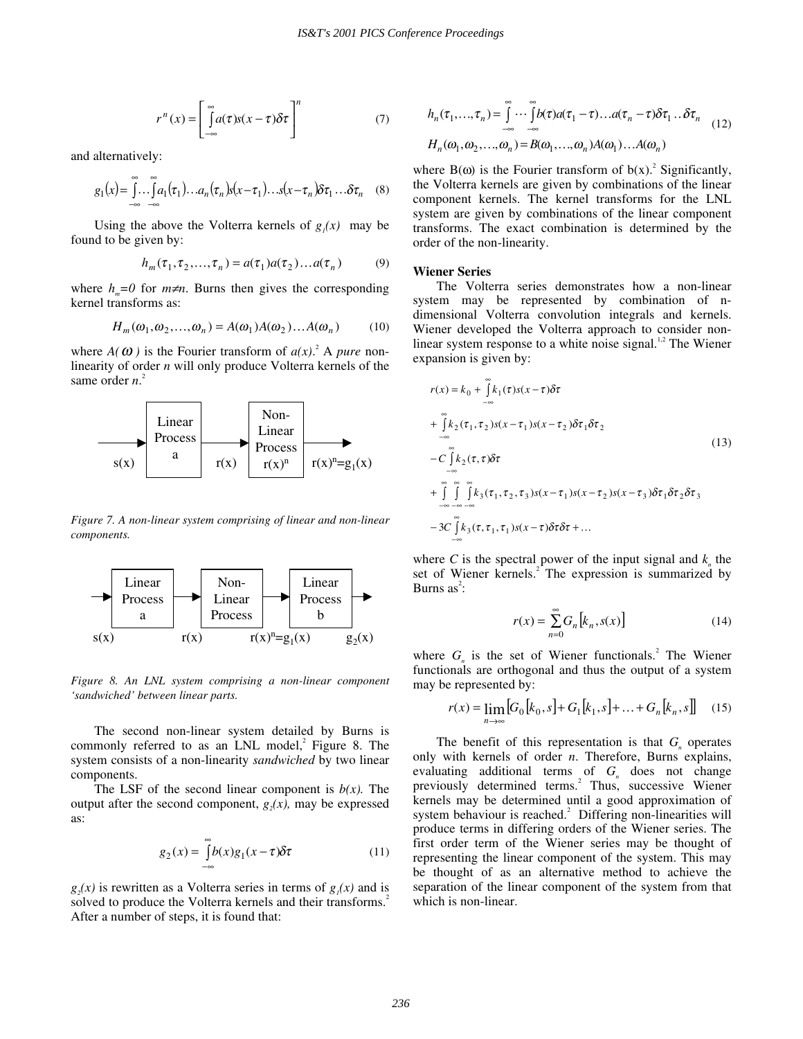$$
r^{n}(x) = \left[\int_{-\infty}^{\infty} a(\tau)s(x-\tau)\delta\tau\right]^{n} \tag{7}
$$

and alternatively:

$$
g_1(x) = \int_{-\infty}^{\infty} \dots \int_{-\infty}^{\infty} a_1(\tau_1) \dots a_n(\tau_n) s(x - \tau_1) \dots s(x - \tau_n) \delta \tau_1 \dots \delta \tau_n \quad (8)
$$

Using the above the Volterra kernels of  $g(x)$  may be found to be given by:

$$
h_m(\tau_1, \tau_2, \dots, \tau_n) = a(\tau_1) a(\tau_2) \dots a(\tau_n)
$$
 (9)

where  $h_m=0$  for  $m \neq n$ . Burns then gives the corresponding kernel transforms as:

$$
H_m(\omega_1, \omega_2, \dots, \omega_n) = A(\omega_1) A(\omega_2) \dots A(\omega_n)
$$
 (10)

where  $A(\omega)$  is the Fourier transform of  $a(x)$ <sup>2</sup>. A *pure* nonlinearity of order *n* will only produce Volterra kernels of the same order *n*.<sup>2</sup>



*Figure 7. A non-linear system comprising of linear and non-linear components.*



*Figure 8. An LNL system comprising a non-linear component 'sandwiched' between linear parts.*

The second non-linear system detailed by Burns is commonly referred to as an  $LNL$  model,<sup>2</sup> Figure 8. The system consists of a non-linearity *sandwiched* by two linear components.

The LSF of the second linear component is  $b(x)$ . The output after the second component,  $g(x)$ , may be expressed as:

$$
g_2(x) = \int_{-\infty}^{\infty} b(x)g_1(x-\tau)\delta\tau
$$
 (11)

 $g(x)$  is rewritten as a Volterra series in terms of  $g(x)$  and is solved to produce the Volterra kernels and their transforms.<sup>2</sup> After a number of steps, it is found that:

$$
h_n(\tau_1, ..., \tau_n) = \int_{-\infty}^{\infty} \cdots \int_{-\infty}^{\infty} b(\tau) a(\tau_1 - \tau) ... a(\tau_n - \tau) \delta \tau_1 ... \delta \tau_n
$$
  
\n
$$
H_n(\omega_1, \omega_2, ..., \omega_n) = B(\omega_1, ..., \omega_n) A(\omega_1) ... A(\omega_n)
$$
\n(12)

where  $B(\omega)$  is the Fourier transform of  $b(x)$ .<sup>2</sup> Significantly, the Volterra kernels are given by combinations of the linear component kernels. The kernel transforms for the LNL system are given by combinations of the linear component transforms. The exact combination is determined by the order of the non-linearity.

#### **Wiener Series**

−∞

The Volterra series demonstrates how a non-linear system may be represented by combination of ndimensional Volterra convolution integrals and kernels. Wiener developed the Volterra approach to consider nonlinear system response to a white noise signal. $1/2$  The Wiener expansion is given by:

$$
r(x) = k_0 + \int_{-\infty}^{\infty} k_1(\tau)s(x - \tau)\delta\tau
$$
  
+ 
$$
\int_{-\infty}^{\infty} k_2(\tau_1, \tau_2)s(x - \tau_1)s(x - \tau_2)\delta\tau_1\delta\tau_2
$$
  
- 
$$
\int_{-\infty}^{\infty} k_2(\tau, \tau)\delta\tau
$$
  
+ 
$$
\int_{-\infty}^{\infty} \int_{-\infty}^{\infty} \int_{-\infty}^{\infty} k_3(\tau_1, \tau_2, \tau_3)s(x - \tau_1)s(x - \tau_2)s(x - \tau_3)\delta\tau_1\delta\tau_2\delta\tau_3
$$
  
- 
$$
3C \int_{-\infty}^{\infty} k_3(\tau, \tau_1, \tau_1)s(x - \tau)\delta\tau\delta\tau + ...
$$
 (13)

where *C* is the spectral power of the input signal and  $k<sub>n</sub>$  the set of Wiener kernels.<sup>2</sup> The expression is summarized by Burns as<sup>2</sup>:

$$
r(x) = \sum_{n=0}^{\infty} G_n \left[ k_n, s(x) \right] \tag{14}
$$

where  $G_n$  is the set of Wiener functionals.<sup>2</sup> The Wiener functionals are orthogonal and thus the output of a system may be represented by:

$$
r(x) = \lim_{n \to \infty} [G_0[k_0, s] + G_1[k_1, s] + ... + G_n[k_n, s]] \quad (15)
$$

The benefit of this representation is that  $G_n$  operates only with kernels of order *n*. Therefore, Burns explains, evaluating additional terms of  $G_n$  does not change previously determined terms.<sup>2</sup> Thus, successive Wiener kernels may be determined until a good approximation of system behaviour is reached.<sup>2</sup> Differing non-linearities will produce terms in differing orders of the Wiener series. The first order term of the Wiener series may be thought of representing the linear component of the system. This may be thought of as an alternative method to achieve the separation of the linear component of the system from that which is non-linear.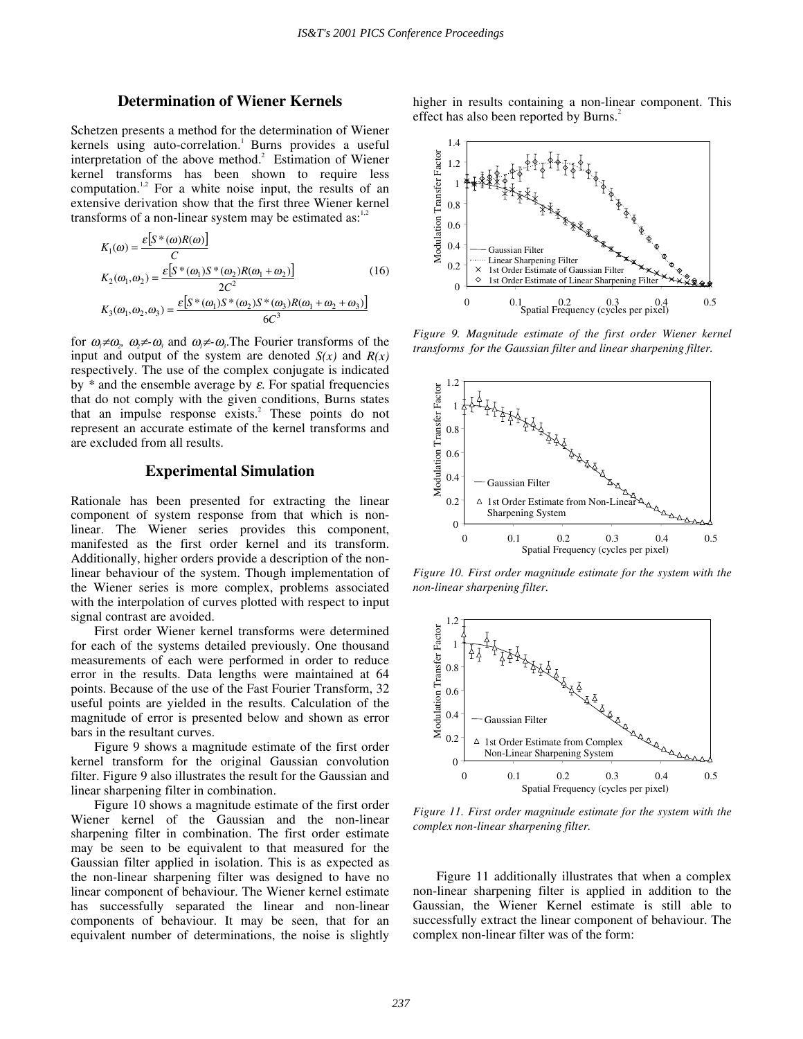# **Determination of Wiener Kernels**

Schetzen presents a method for the determination of Wiener kernels using auto-correlation.<sup>1</sup> Burns provides a useful interpretation of the above method.<sup>2</sup> Estimation of Wiener kernel transforms has been shown to require less computation.<sup>1,2</sup> For a white noise input, the results of an extensive derivation show that the first three Wiener kernel transforms of a non-linear system may be estimated as: $1,2$ 

$$
K_1(\omega) = \frac{\varepsilon \left[ S^*(\omega)R(\omega) \right]}{C}
$$
  
\n
$$
K_2(\omega_1, \omega_2) = \frac{\varepsilon \left[ S^*(\omega_1)S^*(\omega_2)R(\omega_1 + \omega_2) \right]}{2C^2}
$$
  
\n
$$
K_3(\omega_1, \omega_2, \omega_3) = \frac{\varepsilon \left[ S^*(\omega_1)S^*(\omega_2)S^*(\omega_3)R(\omega_1 + \omega_2 + \omega_3) \right]}{6C^3}
$$
\n(16)

for  $\omega_1 \neq \omega_2$ ,  $\omega_2 \neq \omega_3$  and  $\omega_1 \neq \omega_3$ . The Fourier transforms of the input and output of the system are denoted *S(x)* and *R(x)* respectively. The use of the complex conjugate is indicated by  $*$  and the ensemble average by  $\varepsilon$ . For spatial frequencies that do not comply with the given conditions, Burns states that an impulse response exists.<sup>2</sup> These points do not represent an accurate estimate of the kernel transforms and are excluded from all results.

# **Experimental Simulation**

Rationale has been presented for extracting the linear component of system response from that which is nonlinear. The Wiener series provides this component, manifested as the first order kernel and its transform. Additionally, higher orders provide a description of the nonlinear behaviour of the system. Though implementation of the Wiener series is more complex, problems associated with the interpolation of curves plotted with respect to input signal contrast are avoided.

First order Wiener kernel transforms were determined for each of the systems detailed previously. One thousand measurements of each were performed in order to reduce error in the results. Data lengths were maintained at 64 points. Because of the use of the Fast Fourier Transform, 32 useful points are yielded in the results. Calculation of the magnitude of error is presented below and shown as error bars in the resultant curves.

Figure 9 shows a magnitude estimate of the first order kernel transform for the original Gaussian convolution filter. Figure 9 also illustrates the result for the Gaussian and linear sharpening filter in combination.

Figure 10 shows a magnitude estimate of the first order Wiener kernel of the Gaussian and the non-linear sharpening filter in combination. The first order estimate may be seen to be equivalent to that measured for the Gaussian filter applied in isolation. This is as expected as the non-linear sharpening filter was designed to have no linear component of behaviour. The Wiener kernel estimate has successfully separated the linear and non-linear components of behaviour. It may be seen, that for an equivalent number of determinations, the noise is slightly higher in results containing a non-linear component. This effect has also been reported by Burns.<sup>2</sup>



*Figure 9. Magnitude estimate of the first order Wiener kernel transforms for the Gaussian filter and linear sharpening filter.*



*Figure 10. First order magnitude estimate for the system with the non-linear sharpening filter.*



*Figure 11. First order magnitude estimate for the system with the complex non-linear sharpening filter.*

Figure 11 additionally illustrates that when a complex non-linear sharpening filter is applied in addition to the Gaussian, the Wiener Kernel estimate is still able to successfully extract the linear component of behaviour. The complex non-linear filter was of the form: